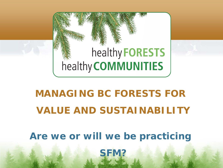

# *MANAGING BC FORESTS FOR VALUE AND SUSTAINABILITY*

*Are we or will we be practicing* 

*SFM?*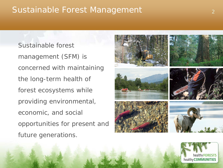## Sustainable Forest Management

Sustainable forest management (SFM) is concerned with maintaining the long-term health of forest ecosystems while providing environmental, economic, and social opportunities for present and future generations.



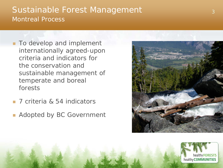### Sustainable Forest Management 3 3 Montreal Process

- **To develop and implement** internationally agreed-upon criteria and indicators for the conservation and sustainable management of temperate and boreal forests
- 7 criteria & 54 indicators
- Adopted by BC Government



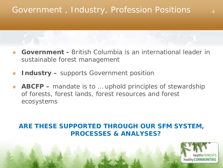# Government, Industry, Profession Positions 4

- *Government -* British Columbia is an international leader in sustainable forest management
- *Industry* supports Government position
- *ABCFP –* mandate is to … uphold principles of stewardship of forests, forest lands, forest resources and forest ecosystems

#### *ARE THESE SUPPORTED THROUGH OUR SFM SYSTEM, PROCESSES & ANALYSES?*

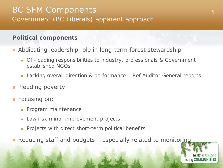### BC SFM Components 5 Government (BC Liberals) apparent approach

#### **Political components**

- **Abdicating leadership role in long-term forest stewardship** 
	- **Off-loading responsibilities to industry, professionals & Government** established NGOs
	- Lacking overall direction & performance Ref Auditor General reports
- **Pleading poverty**
- Focusing on:
	- **Program maintenance**
	- Low risk minor improvement projects
	- **Projects with direct short-term political benefits**
- Reducing staff and budgets especially related to monitoring

healthy **FORESTS** healthy **COMMUNITIES**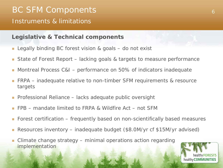# BC SFM Components 6 Instruments & limitations

#### **Legislative & Technical components**

- Legally binding BC forest vision & goals do not exist
- State of Forest Report lacking goals & targets to measure performance
- Montreal Process C&I performance on 50% of indicators inadequate
- FRPA inadequate relative to non-timber SFM requirements & resource targets
- Professional Reliance lacks adequate public oversight
- FPB mandate limited to FRPA & Wildfire Act not SFM
- Forest certification frequently based on non-scientifically based measures
- Resources inventory inadequate budget (\$8.0M/yr cf \$15M/yr advised)
- Climate change strategy minimal operations action regarding implementation

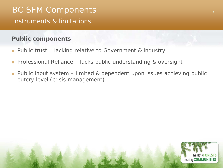# BC SFM Components Instruments & limitations

#### **Public components**

- **Public trust lacking relative to Government & industry**
- Professional Reliance lacks public understanding & oversight
- Public input system limited & dependent upon issues achieving public outcry level (crisis management)